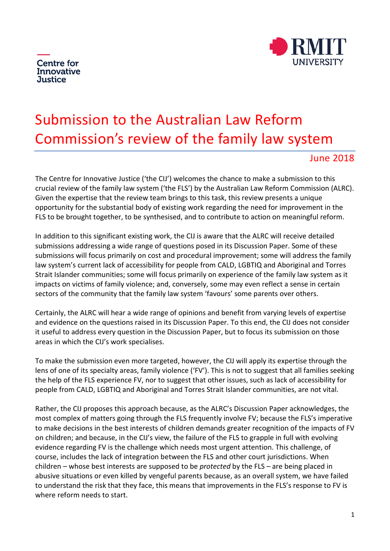



# Submission to the Australian Law Reform Commission's review of the family law system

# June 2018

The Centre for Innovative Justice ('the CIJ') welcomes the chance to make a submission to this crucial review of the family law system ('the FLS') by the Australian Law Reform Commission (ALRC). Given the expertise that the review team brings to this task, this review presents a unique opportunity for the substantial body of existing work regarding the need for improvement in the FLS to be brought together, to be synthesised, and to contribute to action on meaningful reform.

In addition to this significant existing work, the CIJ is aware that the ALRC will receive detailed submissions addressing a wide range of questions posed in its Discussion Paper. Some of these submissions will focus primarily on cost and procedural improvement; some will address the family law system's current lack of accessibility for people from CALD, LGBTIQ and Aboriginal and Torres Strait Islander communities; some will focus primarily on experience of the family law system as it impacts on victims of family violence; and, conversely, some may even reflect a sense in certain sectors of the community that the family law system 'favours' some parents over others.

Certainly, the ALRC will hear a wide range of opinions and benefit from varying levels of expertise and evidence on the questions raised in its Discussion Paper. To this end, the CIJ does not consider it useful to address every question in the Discussion Paper, but to focus its submission on those areas in which the CIJ's work specialises.

To make the submission even more targeted, however, the CIJ will apply its expertise through the lens of one of its specialty areas, family violence ('FV'). This is not to suggest that all families seeking the help of the FLS experience FV, nor to suggest that other issues, such as lack of accessibility for people from CALD, LGBTIQ and Aboriginal and Torres Strait Islander communities, are not vital.

Rather, the CIJ proposes this approach because, as the ALRC's Discussion Paper acknowledges, the most complex of matters going through the FLS frequently involve FV; because the FLS's imperative to make decisions in the best interests of children demands greater recognition of the impacts of FV on children; and because, in the CIJ's view, the failure of the FLS to grapple in full with evolving evidence regarding FV is the challenge which needs most urgent attention. This challenge, of course, includes the lack of integration between the FLS and other court jurisdictions. When children – whose best interests are supposed to be *protected* by the FLS – are being placed in abusive situations or even killed by vengeful parents because, as an overall system, we have failed to understand the risk that they face, this means that improvements in the FLS's response to FV is where reform needs to start.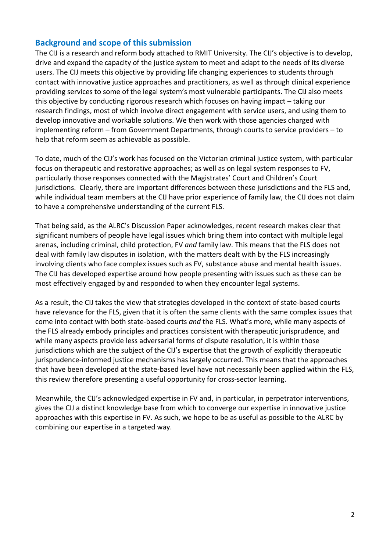# **Background and scope of this submission**

The CIJ is a research and reform body attached to RMIT University. The CIJ's objective is to develop, drive and expand the capacity of the justice system to meet and adapt to the needs of its diverse users. The CIJ meets this objective by providing life changing experiences to students through contact with innovative justice approaches and practitioners, as well as through clinical experience providing services to some of the legal system's most vulnerable participants. The CIJ also meets this objective by conducting rigorous research which focuses on having impact – taking our research findings, most of which involve direct engagement with service users, and using them to develop innovative and workable solutions. We then work with those agencies charged with implementing reform – from Government Departments, through courts to service providers – to help that reform seem as achievable as possible.

To date, much of the CIJ's work has focused on the Victorian criminal justice system, with particular focus on therapeutic and restorative approaches; as well as on legal system responses to FV, particularly those responses connected with the Magistrates' Court and Children's Court jurisdictions. Clearly, there are important differences between these jurisdictions and the FLS and, while individual team members at the CIJ have prior experience of family law, the CIJ does not claim to have a comprehensive understanding of the current FLS.

That being said, as the ALRC's Discussion Paper acknowledges, recent research makes clear that significant numbers of people have legal issues which bring them into contact with multiple legal arenas, including criminal, child protection, FV *and* family law. This means that the FLS does not deal with family law disputes in isolation, with the matters dealt with by the FLS increasingly involving clients who face complex issues such as FV, substance abuse and mental health issues. The CIJ has developed expertise around how people presenting with issues such as these can be most effectively engaged by and responded to when they encounter legal systems.

As a result, the CIJ takes the view that strategies developed in the context of state-based courts have relevance for the FLS, given that it is often the same clients with the same complex issues that come into contact with both state-based courts *and* the FLS. What's more, while many aspects of the FLS already embody principles and practices consistent with therapeutic jurisprudence, and while many aspects provide less adversarial forms of dispute resolution, it is within those jurisdictions which are the subject of the CIJ's expertise that the growth of explicitly therapeutic jurisprudence-informed justice mechanisms has largely occurred. This means that the approaches that have been developed at the state-based level have not necessarily been applied within the FLS, this review therefore presenting a useful opportunity for cross-sector learning.

Meanwhile, the CIJ's acknowledged expertise in FV and, in particular, in perpetrator interventions, gives the CIJ a distinct knowledge base from which to converge our expertise in innovative justice approaches with this expertise in FV. As such, we hope to be as useful as possible to the ALRC by combining our expertise in a targeted way.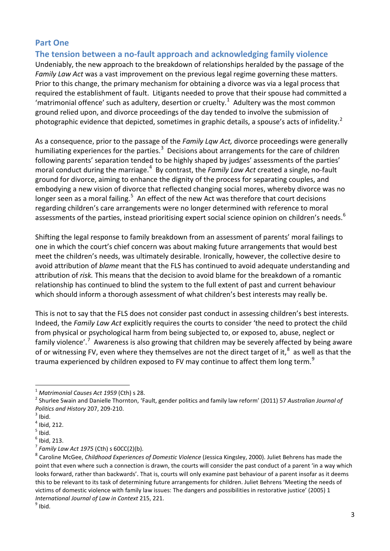# **Part One**

# **The tension between a no-fault approach and acknowledging family violence**

Undeniably, the new approach to the breakdown of relationships heralded by the passage of the *Family Law Act* was a vast improvement on the previous legal regime governing these matters. Prior to this change, the primary mechanism for obtaining a divorce was via a legal process that required the establishment of fault. Litigants needed to prove that their spouse had committed a 'matrimonial offence' such as adultery, desertion or cruelty.<sup>[1](#page-2-0)</sup> Adultery was the most common ground relied upon, and divorce proceedings of the day tended to involve the submission of photographic evidence that depicted, sometimes in graphic details, a spouse's acts of infidelity.<sup>[2](#page-2-1)</sup>

As a consequence, prior to the passage of the *Family Lqw Act,* divorce proceedings were generally humiliating experiences for the parties.<sup>[3](#page-2-2)</sup> Decisions about arrangements for the care of children following parents' separation tended to be highly shaped by judges' assessments of the parties' moral conduct during the marriage.<sup>[4](#page-2-3)</sup> By contrast, the *Family Law Act* created a single, no-fault ground for divorce, aiming to enhance the dignity of the process for separating couples, and embodying a new vision of divorce that reflected changing social mores, whereby divorce was no longer seen as a moral failing.<sup>[5](#page-2-4)</sup> An effect of the new Act was therefore that court decisions regarding children's care arrangements were no longer determined with reference to moral assessments of the parties, instead prioritising expert social science opinion on children's needs.<sup>[6](#page-2-5)</sup>

Shifting the legal response to family breakdown from an assessment of parents' moral failings to one in which the court's chief concern was about making future arrangements that would best meet the children's needs, was ultimately desirable. Ironically, however, the collective desire to avoid attribution of *blame* meant that the FLS has continued to avoid adequate understanding and attribution of *risk.* This means that the decision to avoid blame for the breakdown of a romantic relationship has continued to blind the system to the full extent of past and current behaviour which should inform a thorough assessment of what children's best interests may really be.

This is not to say that the FLS does not consider past conduct in assessing children's best interests. Indeed, the *Family Law Act* explicitly requires the courts to consider 'the need to protect the child from physical or psychological harm from being subjected to, or exposed to, abuse, neglect or family violence'.<sup>[7](#page-2-6)</sup> Awareness is also growing that children may be severely affected by being aware of or witnessing FV, even where they themselves are not the direct target of it,<sup>[8](#page-2-7)</sup> as well as that the trauma experienced by children exposed to FV may continue to affect them long term.<sup>[9](#page-2-8)</sup>

<span id="page-2-0"></span> $1$  Matrimonial Causes Act 1959 (Cth) s 28.

<span id="page-2-1"></span><sup>&</sup>lt;sup>2</sup> Shurlee Swain and Danielle Thornton, 'Fault, gender politics and family law reform' (2011) 57 Australian Journal of *Politics and History* 207, 209-210.<br><sup>3</sup> Ibid.

<span id="page-2-2"></span>

<span id="page-2-3"></span> $<sup>4</sup>$  Ibid, 212.</sup>

<span id="page-2-4"></span> $<sup>5</sup>$  Ibid.</sup>

<span id="page-2-5"></span> $<sup>6</sup>$  Ibid, 213.</sup>

<span id="page-2-6"></span><sup>7</sup> *Family Law Act 1975* (Cth) s 60CC(2)(b).

<span id="page-2-7"></span><sup>8</sup> Caroline McGee, *Childhood Experiences of Domestic Violence* (Jessica Kingsley, 2000). Juliet Behrens has made the point that even where such a connection is drawn, the courts will consider the past conduct of a parent 'in a way which looks forward, rather than backwards'. That is, courts will only examine past behaviour of a parent insofar as it deems this to be relevant to its task of determining future arrangements for children. Juliet Behrens 'Meeting the needs of victims of domestic violence with family law issues: The dangers and possibilities in restorative justice' (2005) 1 *International Journal of Law in Context* 215, 221.<br><sup>9</sup> Ibid.

<span id="page-2-8"></span>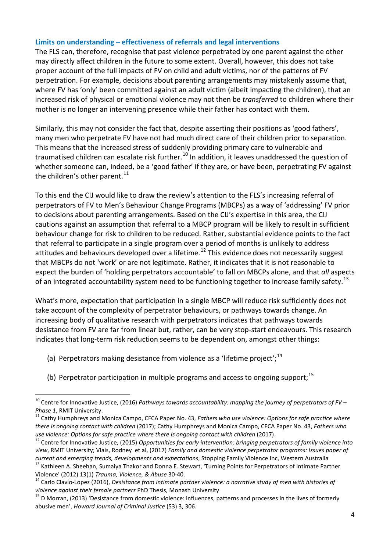#### **Limits on understanding – effectiveness of referrals and legal interventions**

The FLS can, therefore, recognise that past violence perpetrated by one parent against the other may directly affect children in the future to some extent. Overall, however, this does not take proper account of the full impacts of FV on child and adult victims, nor of the patterns of FV perpetration. For example, decisions about parenting arrangements may mistakenly assume that, where FV has 'only' been committed against an adult victim (albeit impacting the children), that an increased risk of physical or emotional violence may not then be *transferred* to children where their mother is no longer an intervening presence while their father has contact with them.

Similarly, this may not consider the fact that, despite asserting their positions as 'good fathers', many men who perpetrate FV have not had much direct care of their children prior to separation. This means that the increased stress of suddenly providing primary care to vulnerable and traumatised children can escalate risk further.<sup>[10](#page-3-0)</sup> In addition, it leaves unaddressed the question of whether someone can, indeed, be a 'good father' if they are, or have been, perpetrating FV against the children's other parent. $^{11}$  $^{11}$  $^{11}$ 

To this end the CIJ would like to draw the review's attention to the FLS's increasing referral of perpetrators of FV to Men's Behaviour Change Programs (MBCPs) as a way of 'addressing' FV prior to decisions about parenting arrangements. Based on the CIJ's expertise in this area, the CIJ cautions against an assumption that referral to a MBCP program will be likely to result in sufficient behaviour change for risk to children to be reduced. Rather, substantial evidence points to the fact that referral to participate in a single program over a period of months is unlikely to address attitudes and behaviours developed over a lifetime.<sup>[12](#page-3-2)</sup> This evidence does not necessarily suggest that MBCPs do not 'work' or are not legitimate. Rather, it indicates that it is not reasonable to expect the burden of 'holding perpetrators accountable' to fall on MBCPs alone, and that *all* aspects of an integrated accountability system need to be functioning together to increase family safety.<sup>[13](#page-3-3)</sup>

What's more, expectation that participation in a single MBCP will reduce risk sufficiently does not take account of the complexity of perpetrator behaviours, or pathways towards change. An increasing body of qualitative research with perpetrators indicates that pathways towards desistance from FV are far from linear but, rather, can be very stop-start endeavours. This research indicates that long-term risk reduction seems to be dependent on, amongst other things:

- (a) Perpetrators making desistance from violence as a 'lifetime project';<sup>[14](#page-3-4)</sup>
- (b) Perpetrator participation in multiple programs and access to ongoing support;<sup>[15](#page-3-5)</sup>

<span id="page-3-0"></span><sup>10</sup> Centre for Innovative Justice, (2016) *Pathways towards accountability: mapping the journey of perpetrators of FV – Phase 1*, RMIT University.<br><sup>11</sup> Cathy Humphreys and Monica Campo, CFCA Paper No. 43, *Fathers who use violence: Options for safe practice where*  $\overline{a}$ 

<span id="page-3-1"></span>*there is ongoing contact with children* (2017); Cathy Humphreys and Monica Campo, CFCA Paper No. 43, *Fathers who* 

<span id="page-3-2"></span>use violence: Options for safe practice where there is ongoing contact with children (2017).<br><sup>12</sup> Centre for Innovative Justice, (2015) Opportunities for early intervention: bringing perpetrators of family violence into *view*, RMIT University; Vlais, Rodney et al, (2017) *Family and domestic violence perpetrator programs: Issues paper of*  current and emerging trends, developments and expectations, Stopping Family Violence Inc, Western Australia<br><sup>13</sup> Kathleen A. Sheehan, Sumaiya Thakor and Donna E. Stewart, 'Turning Points for Perpetrators of Intimate Partne

<span id="page-3-3"></span>Violence' (2012) 13(1) *Trauma, Violence, & Abuse* 30-40.<br><sup>14</sup> Carlo Clavio-Lopez (2016), *Desistance from intimate partner violence: a narrative study of men with histories of* 

<span id="page-3-4"></span>*violence against their female partners* PhD Thesis, Monash University<br><sup>15</sup> D Morran, (2013) 'Desistance from domestic violence: influences, patterns and processes in the lives of formerly

<span id="page-3-5"></span>abusive men', *Howard Journal of Criminal Justice* (53) 3, 306.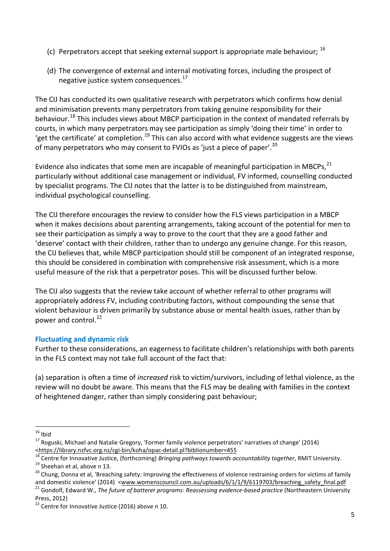- (c) Perpetrators accept that seeking external support is appropriate male behaviour;  $^{16}$  $^{16}$  $^{16}$
- (d) The convergence of external and internal motivating forces, including the prospect of negative justice system consequences.<sup>17</sup>

The CIJ has conducted its own qualitative research with perpetrators which confirms how denial and minimisation prevents many perpetrators from taking genuine responsibility for their behaviour.<sup>[18](#page-4-2)</sup> This includes views about MBCP participation in the context of mandated referrals by courts, in which many perpetrators may see participation as simply 'doing their time' in order to 'get the certificate' at completion.<sup>[19](#page-4-3)</sup> This can also accord with what evidence suggests are the views of many perpetrators who may consent to FVIOs as 'just a piece of paper'.<sup>[20](#page-4-4)</sup>

Evidence also indicates that some men are incapable of meaningful participation in MBCPs.<sup>[21](#page-4-5)</sup> particularly without additional case management or individual, FV informed, counselling conducted by specialist programs. The CIJ notes that the latter is to be distinguished from mainstream, individual psychological counselling.

The CIJ therefore encourages the review to consider how the FLS views participation in a MBCP when it makes decisions about parenting arrangements, taking account of the potential for men to see their participation as simply a way to prove to the court that they are a good father and 'deserve' contact with their children, rather than to undergo any genuine change. For this reason, the CIJ believes that, while MBCP participation should still be component of an integrated response, this should be considered in combination with comprehensive risk assessment, which is a more useful measure of the risk that a perpetrator poses. This will be discussed further below.

The CIJ also suggests that the review take account of whether referral to other programs will appropriately address FV, including contributing factors, without compounding the sense that violent behaviour is driven primarily by substance abuse or mental health issues, rather than by power and control.<sup>[22](#page-4-6)</sup>

# **Fluctuating and dynamic risk**

Further to these considerations, an eagerness to facilitate children's relationships with both parents in the FLS context may not take full account of the fact that:

(a) separation is often a time of *increased* risk to victim/survivors, including of lethal violence, as the review will no doubt be aware. This means that the FLS may be dealing with families in the context of heightened danger, rather than simply considering past behaviour;

<span id="page-4-0"></span> $16$  Ibid

<span id="page-4-1"></span> $17$  Roguski, Michael and Natalie Gregory, 'Former family violence perpetrators' narratives of change' (2014)

<span id="page-4-2"></span><sup>&</sup>lt;https://library.nzfvc.org.nz/cgi-bin/koha/opac-detail.pl?biblionumber=455<br><sup>18</sup> Centre for Innovative Justice, (forthcoming) *Bringing pathways towards accountability together*, RMIT University.<br><sup>19</sup> Sheehan et al, above n

<span id="page-4-4"></span><span id="page-4-3"></span>

<span id="page-4-5"></span>and domestic violence' (2014) < $www.womenscountil.com.au/uploads/6/1/1/9/6119703/breaching safety final.pdf$ <br><sup>21</sup> Gondolf, Edward W., *The future of batterer programs: Reassessing evidence-based practice* (Northeastern University Press, 2012)

<span id="page-4-6"></span> $22$  Centre for Innovative Justice (2016) above n 10.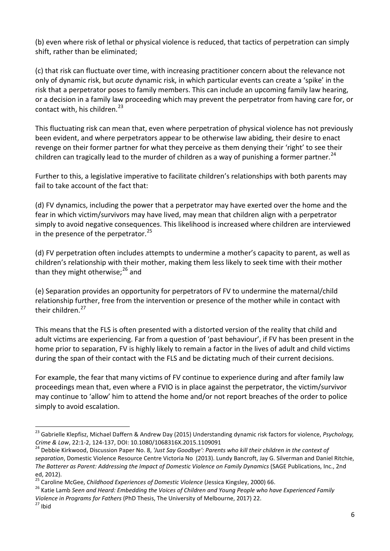(b) even where risk of lethal or physical violence is reduced, that tactics of perpetration can simply shift, rather than be eliminated;

(c) that risk can fluctuate over time, with increasing practitioner concern about the relevance not only of dynamic risk, but *acute* dynamic risk, in which particular events can create a 'spike' in the risk that a perpetrator poses to family members. This can include an upcoming family law hearing, or a decision in a family law proceeding which may prevent the perpetrator from having care for, or contact with, his children.<sup>[23](#page-5-0)</sup>

This fluctuating risk can mean that, even where perpetration of physical violence has not previously been evident, and where perpetrators appear to be otherwise law abiding, their desire to enact revenge on their former partner for what they perceive as them denying their 'right' to see their children can tragically lead to the murder of children as a way of punishing a former partner.<sup>[24](#page-5-1)</sup>

Further to this, a legislative imperative to facilitate children's relationships with both parents may fail to take account of the fact that:

(d) FV dynamics, including the power that a perpetrator may have exerted over the home and the fear in which victim/survivors may have lived, may mean that children align with a perpetrator simply to avoid negative consequences. This likelihood is increased where children are interviewed in the presence of the perpetrator. $25$ 

(d) FV perpetration often includes attempts to undermine a mother's capacity to parent, as well as children's relationship with their mother, making them less likely to seek time with their mother than they might otherwise; $^{26}$  $^{26}$  $^{26}$  and

(e) Separation provides an opportunity for perpetrators of FV to undermine the maternal/child relationship further, free from the intervention or presence of the mother while in contact with their children.<sup>[27](#page-5-4)</sup>

This means that the FLS is often presented with a distorted version of the reality that child and adult victims are experiencing. Far from a question of 'past behaviour', if FV has been present in the home prior to separation, FV is highly likely to remain a factor in the lives of adult and child victims during the span of their contact with the FLS and be dictating much of their current decisions.

For example, the fear that many victims of FV continue to experience during and after family law proceedings mean that, even where a FVIO is in place against the perpetrator, the victim/survivor may continue to 'allow' him to attend the home and/or not report breaches of the order to police simply to avoid escalation.

<span id="page-5-0"></span><sup>23</sup> Gabrielle Klepfisz, Michael Daffern & Andrew Day (2015) Understanding dynamic risk factors for violence, *Psychology, Crime & Law, 22:1-2, 124-137, DOI[: 10.1080/1068316X.2015.1109091](https://doi.org/10.1080/1068316X.2015.1109091)*<br><sup>24</sup> Debbie Kirkwood, Discussion Paper No. 8, *'Just Say Goodbye': Parents who kill their children in the context of* 

<span id="page-5-1"></span>*separation*, Domestic Violence Resource Centre Victoria No (2013). Lundy Bancroft, Jay G. Silverman and Daniel Ritchie, *The Batterer as Parent: Addressing the Impact of Domestic Violence on Family Dynamics* (SAGE Publications, Inc., 2nd

<span id="page-5-3"></span><span id="page-5-2"></span>

ed, 2012).<br><sup>25</sup> Caroline McGee, *Childhood Experiences of Domestic Violence* (Jessica Kingsley, 2000) 66.<br><sup>26</sup> Katie Lamb *Seen and Heard: Embedding the Voices of Children and Young People who have Experienced Family Violence in Programs for Fathers* (PhD Thesis, The University of Melbourne, 2017) 22.<br><sup>27</sup> Ibid

<span id="page-5-4"></span>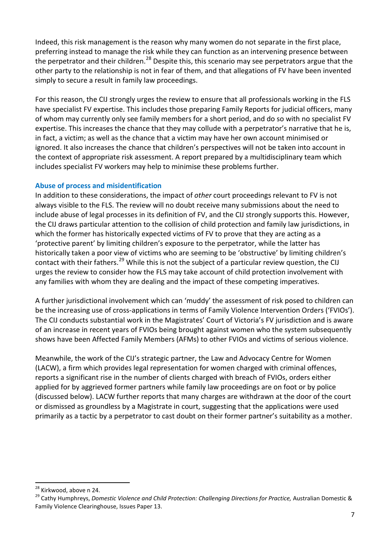Indeed, this risk management is the reason why many women do not separate in the first place, preferring instead to manage the risk while they can function as an intervening presence between the perpetrator and their children.<sup>[28](#page-6-0)</sup> Despite this, this scenario may see perpetrators argue that the other party to the relationship is not in fear of them, and that allegations of FV have been invented simply to secure a result in family law proceedings.

For this reason, the CIJ strongly urges the review to ensure that all professionals working in the FLS have specialist FV expertise. This includes those preparing Family Reports for judicial officers, many of whom may currently only see family members for a short period, and do so with no specialist FV expertise. This increases the chance that they may collude with a perpetrator's narrative that he is, in fact, a victim; as well as the chance that a victim may have her own account minimised or ignored. It also increases the chance that children's perspectives will not be taken into account in the context of appropriate risk assessment. A report prepared by a multidisciplinary team which includes specialist FV workers may help to minimise these problems further.

# **Abuse of process and misidentification**

In addition to these considerations, the impact of *other* court proceedings relevant to FV is not always visible to the FLS. The review will no doubt receive many submissions about the need to include abuse of legal processes in its definition of FV, and the CIJ strongly supports this. However, the CIJ draws particular attention to the collision of child protection and family law jurisdictions, in which the former has historically expected victims of FV to prove that they are acting as a 'protective parent' by limiting children's exposure to the perpetrator, while the latter has historically taken a poor view of victims who are seeming to be 'obstructive' by limiting children's contact with their fathers.<sup>[29](#page-6-1)</sup> While this is not the subject of a particular review question, the CIJ urges the review to consider how the FLS may take account of child protection involvement with any families with whom they are dealing and the impact of these competing imperatives.

A further jurisdictional involvement which can 'muddy' the assessment of risk posed to children can be the increasing use of cross-applications in terms of Family Violence Intervention Orders ('FVIOs'). The CIJ conducts substantial work in the Magistrates' Court of Victoria's FV jurisdiction and is aware of an increase in recent years of FVIOs being brought against women who the system subsequently shows have been Affected Family Members (AFMs) to other FVIOs and victims of serious violence.

Meanwhile, the work of the CIJ's strategic partner, the Law and Advocacy Centre for Women (LACW), a firm which provides legal representation for women charged with criminal offences, reports a significant rise in the number of clients charged with breach of FVIOs, orders either applied for by aggrieved former partners while family law proceedings are on foot or by police (discussed below). LACW further reports that many charges are withdrawn at the door of the court or dismissed as groundless by a Magistrate in court, suggesting that the applications were used primarily as a tactic by a perpetrator to cast doubt on their former partner's suitability as a mother.

<span id="page-6-0"></span><sup>&</sup>lt;sup>28</sup> Kirkwood, above n 24.

<span id="page-6-1"></span><sup>&</sup>lt;sup>29</sup> Cathy Humphreys, *Domestic Violence and Child Protection: Challenging Directions for Practice, Australian Domestic &* Family Violence Clearinghouse, Issues Paper 13.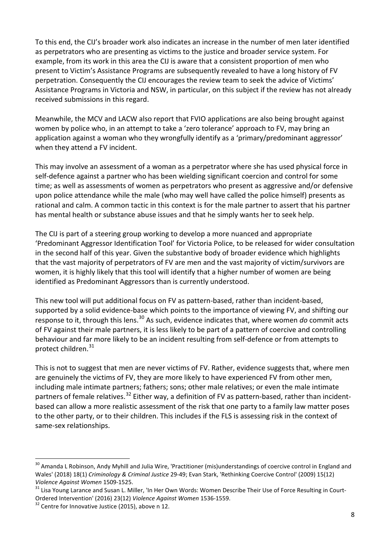To this end, the CIJ's broader work also indicates an increase in the number of men later identified as perpetrators who are presenting as victims to the justice and broader service system. For example, from its work in this area the CIJ is aware that a consistent proportion of men who present to Victim's Assistance Programs are subsequently revealed to have a long history of FV perpetration. Consequently the CIJ encourages the review team to seek the advice of Victims' Assistance Programs in Victoria and NSW, in particular, on this subject if the review has not already received submissions in this regard.

Meanwhile, the MCV and LACW also report that FVIO applications are also being brought against women by police who, in an attempt to take a 'zero tolerance' approach to FV, may bring an application against a woman who they wrongfully identify as a 'primary/predominant aggressor' when they attend a FV incident.

This may involve an assessment of a woman as a perpetrator where she has used physical force in self-defence against a partner who has been wielding significant coercion and control for some time; as well as assessments of women as perpetrators who present as aggressive and/or defensive upon police attendance while the male (who may well have called the police himself) presents as rational and calm. A common tactic in this context is for the male partner to assert that his partner has mental health or substance abuse issues and that he simply wants her to seek help.

The CIJ is part of a steering group working to develop a more nuanced and appropriate 'Predominant Aggressor Identification Tool' for Victoria Police, to be released for wider consultation in the second half of this year. Given the substantive body of broader evidence which highlights that the vast majority of perpetrators of FV are men and the vast majority of victim/survivors are women, it is highly likely that this tool will identify that a higher number of women are being identified as Predominant Aggressors than is currently understood.

This new tool will put additional focus on FV as pattern-based, rather than incident-based, supported by a solid evidence-base which points to the importance of viewing FV, and shifting our response to it, through this lens.[30](#page-7-0) As such, evidence indicates that, where women *do* commit acts of FV against their male partners, it is less likely to be part of a pattern of coercive and controlling behaviour and far more likely to be an incident resulting from self-defence or from attempts to protect children.<sup>[31](#page-7-1)</sup>

This is not to suggest that men are never victims of FV. Rather, evidence suggests that, where men are genuinely the victims of FV, they are more likely to have experienced FV from other men, including male intimate partners; fathers; sons; other male relatives; or even the male intimate partners of female relatives.<sup>[32](#page-7-2)</sup> Either way, a definition of FV as pattern-based, rather than incidentbased can allow a more realistic assessment of the risk that one party to a family law matter poses to the other party, or to their children. This includes if the FLS is assessing risk in the context of same-sex relationships.

<span id="page-7-0"></span><sup>&</sup>lt;sup>30</sup> Amanda L Robinson, Andy Myhill and Julia Wire, 'Practitioner (mis)understandings of coercive control in England and Wales' (2018) 18(1) *Criminology & Criminal Justice* 29-49; Evan Stark, 'Rethinking Coercive Control' (2009) 15(12)

<span id="page-7-1"></span><sup>&</sup>lt;sup>31</sup> Lisa Young Larance and Susan L. Miller, 'In Her Own Words: Women Describe Their Use of Force Resulting in Court-Ordered Intervention' (2016) 23(12) *Violence Against Women* 1536-1559.<br><sup>32</sup> Centre for Innovative Justice (2015), above n 12.

<span id="page-7-2"></span>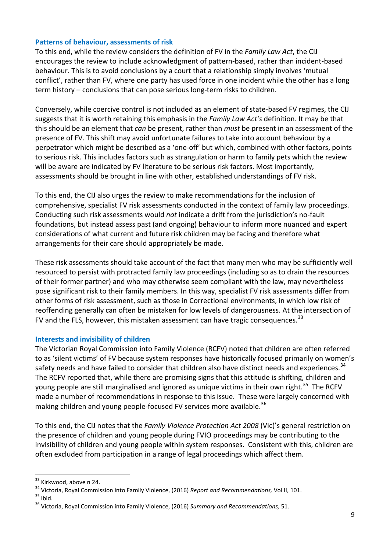## **Patterns of behaviour, assessments of risk**

To this end, while the review considers the definition of FV in the *Family Law Act*, the CIJ encourages the review to include acknowledgment of pattern-based, rather than incident-based behaviour. This is to avoid conclusions by a court that a relationship simply involves 'mutual conflict', rather than FV, where one party has used force in one incident while the other has a long term history – conclusions that can pose serious long-term risks to children.

Conversely, while coercive control is not included as an element of state-based FV regimes, the CIJ suggests that it is worth retaining this emphasis in the *Family Law Act's* definition. It may be that this should be an element that *can* be present, rather than *must* be present in an assessment of the presence of FV. This shift may avoid unfortunate failures to take into account behaviour by a perpetrator which might be described as a 'one-off' but which, combined with other factors, points to serious risk. This includes factors such as strangulation or harm to family pets which the review will be aware are indicated by FV literature to be serious risk factors. Most importantly, assessments should be brought in line with other, established understandings of FV risk.

To this end, the CIJ also urges the review to make recommendations for the inclusion of comprehensive, specialist FV risk assessments conducted in the context of family law proceedings. Conducting such risk assessments would *not* indicate a drift from the jurisdiction's no-fault foundations, but instead assess past (and ongoing) behaviour to inform more nuanced and expert considerations of what current and future risk children may be facing and therefore what arrangements for their care should appropriately be made.

These risk assessments should take account of the fact that many men who may be sufficiently well resourced to persist with protracted family law proceedings (including so as to drain the resources of their former partner) and who may otherwise seem compliant with the law, may nevertheless pose significant risk to their family members. In this way, specialist FV risk assessments differ from other forms of risk assessment, such as those in Correctional environments, in which low risk of reoffending generally can often be mistaken for low levels of dangerousness. At the intersection of FV and the FLS, however, this mistaken assessment can have tragic consequences.  $33$ 

#### **Interests and invisibility of children**

The Victorian Royal Commission into Family Violence (RCFV) noted that children are often referred to as 'silent victims' of FV because system responses have historically focused primarily on women's safety needs and have failed to consider that children also have distinct needs and experiences.<sup>[34](#page-8-1)</sup> The RCFV reported that, while there are promising signs that this attitude is shifting, children and young people are still marginalised and ignored as unique victims in their own right.<sup>35</sup> The RCFV made a number of recommendations in response to this issue. These were largely concerned with making children and young people-focused FV services more available.<sup>36</sup>

To this end, the CIJ notes that the *Family Violence Protection Act 2008* (Vic)'s general restriction on the presence of children and young people during FVIO proceedings may be contributing to the invisibility of children and young people within system responses. Consistent with this, children are often excluded from participation in a range of legal proceedings which affect them.

<span id="page-8-1"></span><span id="page-8-0"></span><sup>&</sup>lt;sup>33</sup> Kirkwood, above n 24.<br><sup>34</sup> Victoria, Royal Commission into Family Violence, (2016) *Report and Recommendations,* Vol II, 101.<br><sup>35</sup> Ibid.<br><sup>36</sup> Victoria, Royal Commission into Family Violence, (2016) Summary and Recomm

<span id="page-8-3"></span><span id="page-8-2"></span>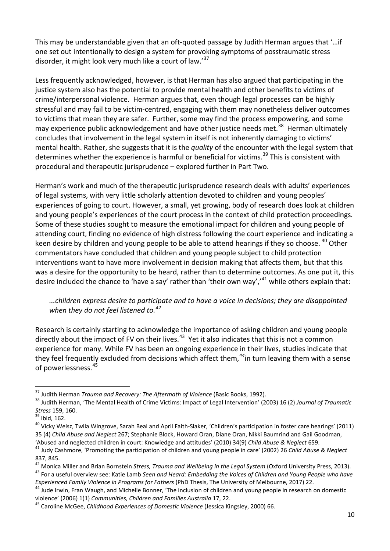This may be understandable given that an oft-quoted passage by Judith Herman argues that '…if one set out intentionally to design a system for provoking symptoms of posstraumatic stress disorder, it might look very much like a court of law.<sup>[37](#page-9-0)</sup>

Less frequently acknowledged, however, is that Herman has also argued that participating in the justice system also has the potential to provide mental health and other benefits to victims of crime/interpersonal violence. Herman argues that, even though legal processes can be highly stressful and may fail to be victim-centred, engaging with them may nonetheless deliver outcomes to victims that mean they are safer. Further, some may find the process empowering, and some may experience public acknowledgement and have other justice needs met.<sup>[38](#page-9-1)</sup> Herman ultimately concludes that involvement in the legal system in itself is not inherently damaging to victims' mental health. Rather, she suggests that it is the *quality* of the encounter with the legal system that determines whether the experience is harmful or beneficial for victims.<sup>[39](#page-9-2)</sup> This is consistent with procedural and therapeutic jurisprudence – explored further in Part Two.

Herman's work and much of the therapeutic jurisprudence research deals with adults' experiences of legal systems, with very little scholarly attention devoted to children and young peoples' experiences of going to court. However, a small, yet growing, body of research does look at children and young people's experiences of the court process in the context of child protection proceedings. Some of these studies sought to measure the emotional impact for children and young people of attending court, finding no evidence of high distress following the court experience and indicating a keen desire by children and young people to be able to attend hearings if they so choose. <sup>[40](#page-9-3)</sup> Other commentators have concluded that children and young people subject to child protection interventions want to have more involvement in decision making that affects them, but that this was a desire for the opportunity to be heard, rather than to determine outcomes. As one put it, this desire included the chance to 'have a say' rather than 'their own way','<sup>[41](#page-9-4)</sup> while others explain that:

*...children express desire to participate and to have a voice in decisions; they are disappointed when they do not feel listened to.[42](#page-9-5)*

Research is certainly starting to acknowledge the importance of asking children and young people directly about the impact of FV on their lives.<sup>[43](#page-9-6)</sup> Yet it also indicates that this is not a common experience for many. While FV has been an ongoing experience in their lives, studies indicate that they feel frequently excluded from decisions which affect them,*[44](#page-9-7)*in turn leaving them with a sense of powerlessness.[45](#page-9-8)

<span id="page-9-1"></span><span id="page-9-0"></span><sup>&</sup>lt;sup>37</sup> Judith Herman *Trauma and Recovery: The Aftermath of Violence* (Basic Books, 1992).<br><sup>38</sup> Judith Herman, 'The Mental Health of Crime Victims: Impact of Legal Intervention' (2003) 16 (2) *Journal of Traumatic*<br>*Stress*

<span id="page-9-3"></span><span id="page-9-2"></span><sup>&</sup>lt;sup>39</sup> Ibid, 162.<br><sup>40</sup> Vicky Weisz, Twila Wingrove, Sarah Beal and April Faith-Slaker, 'Children's participation in foster care hearings' (2011) 35 (4) *Child Abuse and Neglect* 267; Stephanie Block, Howard Oran, Diane Oran, Nikki Baumrind and Gail Goodman, 'Abused and neglected children in court: Knowledge and attitudes' (2010) 34(9) Child Abuse & Neglect 659.<br><sup>41</sup> Judv Cashmore, 'Promoting the participation of children and young people in care' (2002) 26 Child Abuse & Negl

<span id="page-9-4"></span><sup>837, 845.</sup>

<span id="page-9-5"></span><sup>&</sup>lt;sup>42</sup> Monica Miller and Brian Bornstein Stress, Trauma and Wellbeing in the Legal System (Oxford University Press, 2013).<br><sup>43</sup> For a useful overview see: Katie Lamb Seen and Heard: Embedding the Voices of Children and Youn

<span id="page-9-6"></span>Experienced Family Violence in Programs for Fathers (PhD Thesis, The University of Melbourne, 2017) 22.<br><sup>44</sup> Jude Irwin, Fran Waugh, and Michelle Bonner, 'The inclusion of children and young people in research on domestic

<span id="page-9-7"></span>violence' (2006) 1(1) *Communities, Children and Families Australia* 17, 22.<br><sup>45</sup> Caroline McGee, *Childhood Experiences of Domestic Violence* (Jessica Kingsley, 2000) 66.

<span id="page-9-8"></span>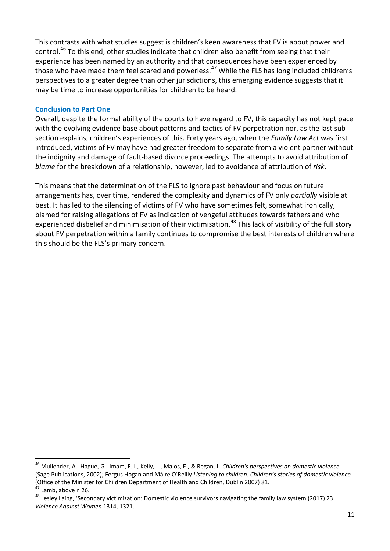This contrasts with what studies suggest is children's keen awareness that FV is about power and control.[46](#page-10-0) To this end, other studies indicate that children also benefit from seeing that their experience has been named by an authority and that consequences have been experienced by those who have made them feel scared and powerless.<sup>[47](#page-10-1)</sup> While the FLS has long included children's perspectives to a greater degree than other jurisdictions, this emerging evidence suggests that it may be time to increase opportunities for children to be heard.

#### **Conclusion to Part One**

Overall, despite the formal ability of the courts to have regard to FV, this capacity has not kept pace with the evolving evidence base about patterns and tactics of FV perpetration nor, as the last subsection explains, children's experiences of this. Forty years ago, when the *Family Law Act* was first introduced, victims of FV may have had greater freedom to separate from a violent partner without the indignity and damage of fault-based divorce proceedings. The attempts to avoid attribution of *blame* for the breakdown of a relationship, however, led to avoidance of attribution of *risk*.

This means that the determination of the FLS to ignore past behaviour and focus on future arrangements has, over time, rendered the complexity and dynamics of FV only *partially* visible at best. It has led to the silencing of victims of FV who have sometimes felt, somewhat ironically, blamed for raising allegations of FV as indication of vengeful attitudes towards fathers and who experienced disbelief and minimisation of their victimisation.<sup>[48](#page-10-2)</sup> This lack of visibility of the full story about FV perpetration within a family continues to compromise the best interests of children where this should be the FLS's primary concern.

<span id="page-10-0"></span><sup>46</sup> Mullender, A., Hague, G., Imam, F. I., Kelly, L., Malos, E., & Regan, L. *Children's perspectives on domestic violence* (Sage Publications, 2002); Fergus Hogan and Máire O'Reilly *Listening to children: Children's stories of domestic violence* 

<span id="page-10-2"></span><span id="page-10-1"></span><sup>&</sup>lt;sup>47</sup> Lamb, above n 26.<br><sup>48</sup> Lesley Laing, 'Secondary victimization: Domestic violence survivors navigating the family law system (2017) 23 *Violence Against Women* 1314, 1321.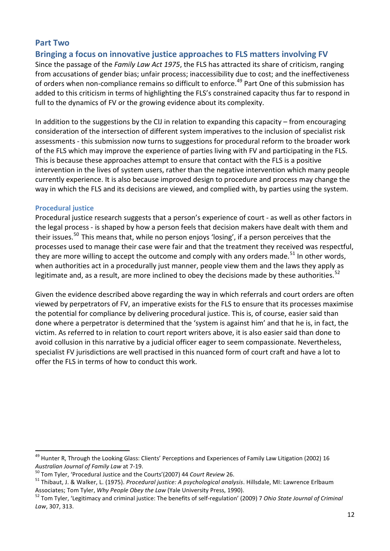# **Part Two**

**Bringing a focus on innovative justice approaches to FLS matters involving FV**

Since the passage of the *Family Law Act 1975*, the FLS has attracted its share of criticism, ranging from accusations of gender bias; unfair process; inaccessibility due to cost; and the ineffectiveness of orders when non-compliance remains so difficult to enforce.<sup>[49](#page-11-0)</sup> Part One of this submission has added to this criticism in terms of highlighting the FLS's constrained capacity thus far to respond in full to the dynamics of FV or the growing evidence about its complexity.

In addition to the suggestions by the CIJ in relation to expanding this capacity – from encouraging consideration of the intersection of different system imperatives to the inclusion of specialist risk assessments - this submission now turns to suggestions for procedural reform to the broader work of the FLS which may improve the experience of parties living with FV and participating in the FLS. This is because these approaches attempt to ensure that contact with the FLS is a positive intervention in the lives of system users, rather than the negative intervention which many people currently experience. It is also because improved design to procedure and process may change the way in which the FLS and its decisions are viewed, and complied with, by parties using the system.

#### **Procedural justice**

 $\overline{a}$ 

Procedural justice research suggests that a person's experience of court - as well as other factors in the legal process - is shaped by how a person feels that decision makers have dealt with them and their issues.<sup>50</sup> This means that, while no person enjoys 'losing', if a person perceives that the processes used to manage their case were fair and that the treatment they received was respectful, they are more willing to accept the outcome and comply with any orders made.<sup>[51](#page-11-2)</sup> In other words, when authorities act in a procedurally just manner, people view them and the laws they apply as legitimate and, as a result, are more inclined to obey the decisions made by these authorities.<sup>[52](#page-11-3)</sup>

Given the evidence described above regarding the way in which referrals and court orders are often viewed by perpetrators of FV, an imperative exists for the FLS to ensure that its processes maximise the potential for compliance by delivering procedural justice. This is, of course, easier said than done where a perpetrator is determined that the 'system is against him' and that he is, in fact, the victim. As referred to in relation to court report writers above, it is also easier said than done to avoid collusion in this narrative by a judicial officer eager to seem compassionate. Nevertheless, specialist FV jurisdictions are well practised in this nuanced form of court craft and have a lot to offer the FLS in terms of how to conduct this work.

<span id="page-11-0"></span><sup>&</sup>lt;sup>49</sup> Hunter R, Through the Looking Glass: Clients' Perceptions and Experiences of Family Law Litigation (2002) 16 Australian Journal of Family Law at 7-19.<br><sup>50</sup> Tom Tyler, 'Procedural Justice and the Courts'(2007) 44 Court Review 26.<br><sup>51</sup> Thibaut, J. & Walker, L. (1975). Procedural justice: A psychological analysis. Hillsdale, MI: Law

<span id="page-11-1"></span>

<span id="page-11-2"></span>

<span id="page-11-3"></span>Associates; Tom Tyler, *Why People Obey the Law* (Yale University Press, 1990).<br><sup>52</sup> Tom Tyler, 'Legitimacy and criminal justice: The benefits of self-regulation' (2009) 7 *Ohio State Journal of Criminal Law*, 307, 313.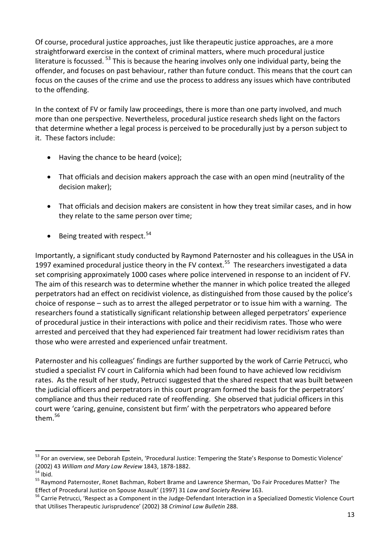Of course, procedural justice approaches, just like therapeutic justice approaches, are a more straightforward exercise in the context of criminal matters, where much procedural justice literature is focussed. <sup>[53](#page-12-0)</sup> This is because the hearing involves only one individual party, being the offender, and focuses on past behaviour, rather than future conduct. This means that the court can focus on the causes of the crime and use the process to address any issues which have contributed to the offending.

In the context of FV or family law proceedings, there is more than one party involved, and much more than one perspective. Nevertheless, procedural justice research sheds light on the factors that determine whether a legal process is perceived to be procedurally just by a person subject to it. These factors include:

- Having the chance to be heard (voice);
- That officials and decision makers approach the case with an open mind (neutrality of the decision maker);
- That officials and decision makers are consistent in how they treat similar cases, and in how they relate to the same person over time;
- Being treated with respect. $54$

Importantly, a significant study conducted by Raymond Paternoster and his colleagues in the USA in 1997 examined procedural justice theory in the FV context.<sup>[55](#page-12-2)</sup> The researchers investigated a data set comprising approximately 1000 cases where police intervened in response to an incident of FV. The aim of this research was to determine whether the manner in which police treated the alleged perpetrators had an effect on recidivist violence, as distinguished from those caused by the police's choice of response – such as to arrest the alleged perpetrator or to issue him with a warning. The researchers found a statistically significant relationship between alleged perpetrators' experience of procedural justice in their interactions with police and their recidivism rates. Those who were arrested and perceived that they had experienced fair treatment had lower recidivism rates than those who were arrested and experienced unfair treatment.

Paternoster and his colleagues' findings are further supported by the work of Carrie Petrucci, who studied a specialist FV court in California which had been found to have achieved low recidivism rates. As the result of her study, Petrucci suggested that the shared respect that was built between the judicial officers and perpetrators in this court program formed the basis for the perpetrators' compliance and thus their reduced rate of reoffending. She observed that judicial officers in this court were 'caring, genuine, consistent but firm' with the perpetrators who appeared before them.<sup>[56](#page-12-3)</sup>

<span id="page-12-0"></span><sup>&</sup>lt;sup>53</sup> For an overview, see Deborah Epstein, 'Procedural Justice: Tempering the State's Response to Domestic Violence'<br>(2002) 43 William and Mary Law Review 1843, 1878-1882.<br><sup>54</sup> Ibid.

<span id="page-12-1"></span>

<span id="page-12-2"></span><sup>&</sup>lt;sup>55</sup> Raymond Paternoster, Ronet Bachman, Robert Brame and Lawrence Sherman, 'Do Fair Procedures Matter? The Effect of Procedural Justice on Spouse Assault' (1997) 31 *Law and Society Review* 163.<br><sup>56</sup> Carrie Petrucci, 'Respect as a Component in the Judge-Defendant Interaction in a Specialized Domestic Violence Court

<span id="page-12-3"></span>that Utilises Therapeutic Jurisprudence' (2002) 38 *Criminal Law Bulletin* 288.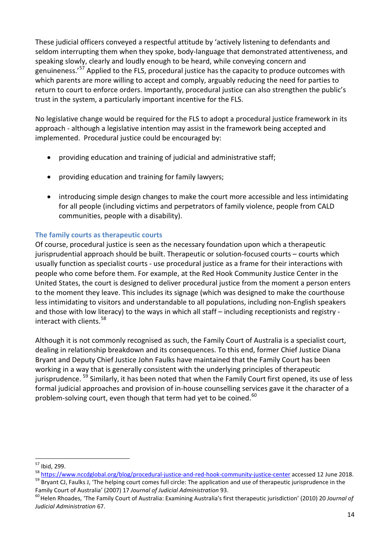These judicial officers conveyed a respectful attitude by 'actively listening to defendants and seldom interrupting them when they spoke, body-language that demonstrated attentiveness, and speaking slowly, clearly and loudly enough to be heard, while conveying concern and genuineness.<sup>'[57](#page-13-0)</sup> Applied to the FLS, procedural justice has the capacity to produce outcomes with which parents are more willing to accept and comply, arguably reducing the need for parties to return to court to enforce orders. Importantly, procedural justice can also strengthen the public's trust in the system, a particularly important incentive for the FLS.

No legislative change would be required for the FLS to adopt a procedural justice framework in its approach - although a legislative intention may assist in the framework being accepted and implemented. Procedural justice could be encouraged by:

- providing education and training of judicial and administrative staff;
- providing education and training for family lawyers;
- introducing simple design changes to make the court more accessible and less intimidating for all people (including victims and perpetrators of family violence, people from CALD communities, people with a disability).

# **The family courts as therapeutic courts**

Of course, procedural justice is seen as the necessary foundation upon which a therapeutic jurisprudential approach should be built. Therapeutic or solution-focused courts – courts which usually function as specialist courts - use procedural justice as a frame for their interactions with people who come before them. For example, at the Red Hook Community Justice Center in the United States, the court is designed to deliver procedural justice from the moment a person enters to the moment they leave. This includes its signage (which was designed to make the courthouse less intimidating to visitors and understandable to all populations, including non-English speakers and those with low literacy) to the ways in which all staff – including receptionists and registry - interact with clients.<sup>[58](#page-13-1)</sup>

Although it is not commonly recognised as such, the Family Court of Australia is a specialist court, dealing in relationship breakdown and its consequences. To this end, former Chief Justice Diana Bryant and Deputy Chief Justice John Faulks have maintained that the Family Court has been working in a way that is generally consistent with the underlying principles of therapeutic jurisprudence. <sup>[59](#page-13-2)</sup> Similarly, it has been noted that when the Family Court first opened, its use of less formal judicial approaches and provision of in-house counselling services gave it the character of a problem-solving court, even though that term had yet to be coined.<sup>[60](#page-13-3)</sup>

<span id="page-13-0"></span><sup>&</sup>lt;sup>57</sup> Ibid, 299.

<span id="page-13-1"></span><sup>&</sup>lt;sup>58</sup> <https://www.nccdglobal.org/blog/procedural-justice-and-red-hook-community-justice-center> accessed 12 June 2018.<br><sup>59</sup> Brvant CJ, Faulks J, 'The helping court comes full circle: The application and use of therapeutic ju

<span id="page-13-3"></span><span id="page-13-2"></span>Family Court of Australia' (2007) 17 Journal of Judicial Administration 93.<br><sup>60</sup>Helen Rhoades, 'The Family Court of Australia: Examining Australia's first therapeutic jurisdiction' (2010) 20 Journal of *Judicial Administration* 67.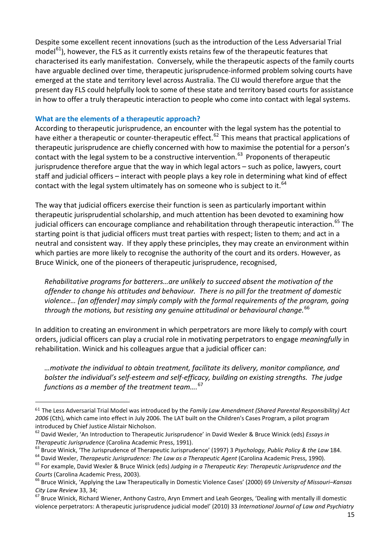Despite some excellent recent innovations (such as the introduction of the Less Adversarial Trial model $^{61}$  $^{61}$  $^{61}$ ), however, the FLS as it currently exists retains few of the therapeutic features that characterised its early manifestation. Conversely, while the therapeutic aspects of the family courts have arguable declined over time, therapeutic jurisprudence-informed problem solving courts have emerged at the state and territory level across Australia. The CIJ would therefore argue that the present day FLS could helpfully look to some of these state and territory based courts for assistance in how to offer a truly therapeutic interaction to people who come into contact with legal systems.

#### **What are the elements of a therapeutic approach?**

 $\overline{a}$ 

According to therapeutic jurisprudence, an encounter with the legal system has the potential to have either a therapeutic or counter-therapeutic effect.<sup>[62](#page-14-1)</sup> This means that practical applications of therapeutic jurisprudence are chiefly concerned with how to maximise the potential for a person's contact with the legal system to be a constructive intervention.<sup>[63](#page-14-2)</sup> Proponents of therapeutic jurisprudence therefore argue that the way in which legal actors – such as police, lawyers, court staff and judicial officers – interact with people plays a key role in determining what kind of effect contact with the legal system ultimately has on someone who is subject to it.<sup>[64](#page-14-3)</sup>

The way that judicial officers exercise their function is seen as particularly important within therapeutic jurisprudential scholarship, and much attention has been devoted to examining how judicial officers can encourage compliance and rehabilitation through therapeutic interaction.<sup>[65](#page-14-4)</sup> The starting point is that judicial officers must treat parties with respect; listen to them; and act in a neutral and consistent way. If they apply these principles, they may create an environment within which parties are more likely to recognise the authority of the court and its orders. However, as Bruce Winick, one of the pioneers of therapeutic jurisprudence, recognised,

*Rehabilitative programs for batterers…are unlikely to succeed absent the motivation of the offender to change his attitudes and behaviour. There is no pill for the treatment of domestic violence… [an offender] may simply comply with the formal requirements of the program, going through the motions, but resisting any genuine attitudinal or behavioural change.*[66](#page-14-5)

In addition to creating an environment in which perpetrators are more likely to *comply* with court orders, judicial officers can play a crucial role in motivating perpetrators to engage *meaningfully* in rehabilitation. Winick and his colleagues argue that a judicial officer can:

*…motivate the individual to obtain treatment, facilitate its delivery, monitor compliance, and bolster the individual's self-esteem and self-efficacy, building on existing strengths. The judge functions as a member of the treatment team….* [67](#page-14-6)

<span id="page-14-0"></span><sup>61</sup> The Less Adversarial Trial Model was introduced by the *Family Law Amendment (Shared Parental Responsibility) Act 2006* (Cth), which came into effect in July 2006. The LAT built on the Children's Cases Program, a pilot program introduced by Chief Justice Alistair Nicholson.

<span id="page-14-1"></span><sup>62</sup> David Wexler, 'An Introduction to Therapeutic Jurisprudence' in David Wexler & Bruce Winick (eds) *Essays in* 

<span id="page-14-2"></span>

<span id="page-14-4"></span><span id="page-14-3"></span>

Therapeutic Jurisprudence (Carolina Academic Press, 1991).<br><sup>63</sup> Bruce Winick, 'The Jurisprudence of Therapeutic Jurisprudence' (1997) 3 *Psychology, Public Policy & the Law* 184.<br><sup>64</sup> David Wexler, *Therapeutic Jurispruden Courts* (Carolina Academic Press, 2003).<br><sup>66</sup> Bruce Winick, 'Applying the Law Therapeutically in Domestic Violence Cases' (2000) 69 *University of Missouri–Kansas* 

<span id="page-14-5"></span>*City Law Review* 33, 34;<br><sup>67</sup> Bruce Winick, Richard Wiener, Anthony Castro, Aryn Emmert and Leah Georges, 'Dealing with mentally ill domestic

<span id="page-14-6"></span>violence perpetrators: A therapeutic jurisprudence judicial model' (2010) 33 *International Journal of Law and Psychiatry*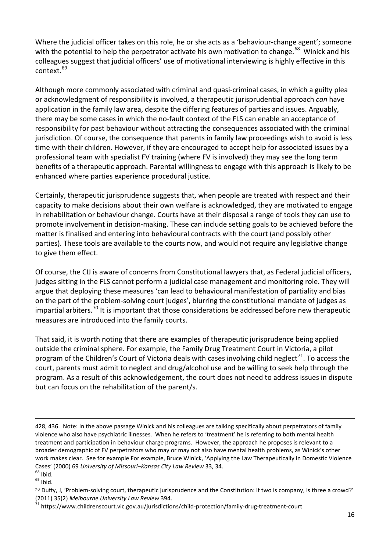Where the judicial officer takes on this role, he or she acts as a 'behaviour-change agent'; someone with the potential to help the perpetrator activate his own motivation to change.<sup>68</sup> Winick and his colleagues suggest that judicial officers' use of motivational interviewing is highly effective in this context<sup>[69](#page-15-1)</sup>

Although more commonly associated with criminal and quasi-criminal cases, in which a guilty plea or acknowledgment of responsibility is involved, a therapeutic jurisprudential approach *can* have application in the family law area, despite the differing features of parties and issues. Arguably, there may be some cases in which the no-fault context of the FLS can enable an acceptance of responsibility for past behaviour without attracting the consequences associated with the criminal jurisdiction. Of course, the consequence that parents in family law proceedings wish to avoid is less time with their children. However, if they are encouraged to accept help for associated issues by a professional team with specialist FV training (where FV is involved) they may see the long term benefits of a therapeutic approach. Parental willingness to engage with this approach is likely to be enhanced where parties experience procedural justice.

Certainly, therapeutic jurisprudence suggests that, when people are treated with respect and their capacity to make decisions about their own welfare is acknowledged, they are motivated to engage in rehabilitation or behaviour change. Courts have at their disposal a range of tools they can use to promote involvement in decision-making. These can include setting goals to be achieved before the matter is finalised and entering into behavioural contracts with the court (and possibly other parties). These tools are available to the courts now, and would not require any legislative change to give them effect.

Of course, the CIJ is aware of concerns from Constitutional lawyers that, as Federal judicial officers, judges sitting in the FLS cannot perform a judicial case management and monitoring role. They will argue that deploying these measures 'can lead to behavioural manifestation of partiality and bias on the part of the problem-solving court judges', blurring the constitutional mandate of judges as impartial arbiters.<sup>[70](#page-15-2)</sup> It is important that those considerations be addressed before new therapeutic measures are introduced into the family courts.

That said, it is worth noting that there are examples of therapeutic jurisprudence being applied outside the criminal sphere. For example, the Family Drug Treatment Court in Victoria, a pilot program of the Children's Court of Victoria deals with cases involving child neglect<sup>71</sup>. To access the court, parents must admit to neglect and drug/alcohol use and be willing to seek help through the program. As a result of this acknowledgement, the court does not need to address issues in dispute but can focus on the rehabilitation of the parent/s.

<sup>428, 436.</sup> Note: In the above passage Winick and his colleagues are talking specifically about perpetrators of family violence who also have psychiatric illnesses. When he refers to 'treatment' he is referring to both mental health treatment and participation in behaviour charge programs. However, the approach he proposes is relevant to a broader demographic of FV perpetrators who may or may not also have mental health problems, as Winick's other work makes clear. See for example For example, Bruce Winick, 'Applying the Law Therapeutically in Domestic Violence Cases' (2000) 69 *University of Missouri–Kansas City Law Review* 33, 34.<br><sup>68</sup> Ibid.<br><sup>69</sup> Ibid.

<span id="page-15-1"></span><span id="page-15-0"></span>

<span id="page-15-2"></span><sup>70</sup> Duffy, J, 'Problem-solving court, therapeutic jurisprudence and the Constitution: If two is company, is three a crowd?' (2011) 35(2) *Melbourne University Law Review* 394.<br><sup>71</sup> https://www.childrenscourt.vic.gov.au/jurisdictions/child-protection/family-drug-treatment-court

<span id="page-15-3"></span>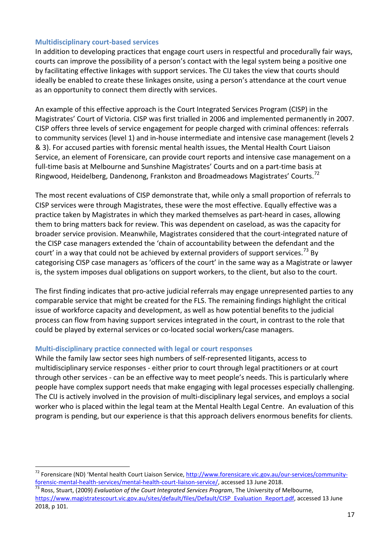## **Multidisciplinary court-based services**

In addition to developing practices that engage court users in respectful and procedurally fair ways, courts can improve the possibility of a person's contact with the legal system being a positive one by facilitating effective linkages with support services. The CIJ takes the view that courts should ideally be enabled to create these linkages onsite, using a person's attendance at the court venue as an opportunity to connect them directly with services.

An example of this effective approach is the Court Integrated Services Program (CISP) in the Magistrates' Court of Victoria. CISP was first trialled in 2006 and implemented permanently in 2007. CISP offers three levels of service engagement for people charged with criminal offences: referrals to community services (level 1) and in-house intermediate and intensive case management (levels 2 & 3). For accused parties with forensic mental health issues, the Mental Health Court Liaison Service, an element of Forensicare, can provide court reports and intensive case management on a full-time basis at Melbourne and Sunshine Magistrates' Courts and on a part-time basis at Ringwood, Heidelberg, Dandenong, Frankston and Broadmeadows Magistrates' Courts.[72](#page-16-0)

The most recent evaluations of CISP demonstrate that, while only a small proportion of referrals to CISP services were through Magistrates, these were the most effective. Equally effective was a practice taken by Magistrates in which they marked themselves as part-heard in cases, allowing them to bring matters back for review. This was dependent on caseload, as was the capacity for broader service provision. Meanwhile, Magistrates considered that the court-integrated nature of the CISP case managers extended the 'chain of accountability between the defendant and the court' in a way that could not be achieved by external providers of support services.<sup>[73](#page-16-1)</sup> By categorising CISP case managers as 'officers of the court' in the same way as a Magistrate or lawyer is, the system imposes dual obligations on support workers, to the client, but also to the court.

The first finding indicates that pro-active judicial referrals may engage unrepresented parties to any comparable service that might be created for the FLS. The remaining findings highlight the critical issue of workforce capacity and development, as well as how potential benefits to the judicial process can flow from having support services integrated in the court, in contrast to the role that could be played by external services or co-located social workers/case managers.

#### **Multi-disciplinary practice connected with legal or court responses**

 $\overline{a}$ 

While the family law sector sees high numbers of self-represented litigants, access to multidisciplinary service responses - either prior to court through legal practitioners or at court through other services - can be an effective way to meet people's needs. This is particularly where people have complex support needs that make engaging with legal processes especially challenging. The CIJ is actively involved in the provision of multi-disciplinary legal services, and employs a social worker who is placed within the legal team at the Mental Health Legal Centre. An evaluation of this program is pending, but our experience is that this approach delivers enormous benefits for clients.

<span id="page-16-0"></span><sup>&</sup>lt;sup>72</sup> Forensicare (ND) 'Mental health Court Liaison Service, [http://www.forensicare.vic.gov.au/our-services/community](http://www.forensicare.vic.gov.au/our-services/community-forensic-mental-health-services/mental-health-court-liaison-service/)[forensic-mental-health-services/mental-health-court-liaison-service/,](http://www.forensicare.vic.gov.au/our-services/community-forensic-mental-health-services/mental-health-court-liaison-service/) accessed 13 June 2018. <sup>73</sup> Ross, Stuart, (2009) *Evaluation of the Court Integrated Services Program*, The University of Melbourne,

<span id="page-16-1"></span>[https://www.magistratescourt.vic.gov.au/sites/default/files/Default/CISP\\_Evaluation\\_Report.pdf,](https://www.magistratescourt.vic.gov.au/sites/default/files/Default/CISP_Evaluation_Report.pdf) accessed 13 June 2018, p 101.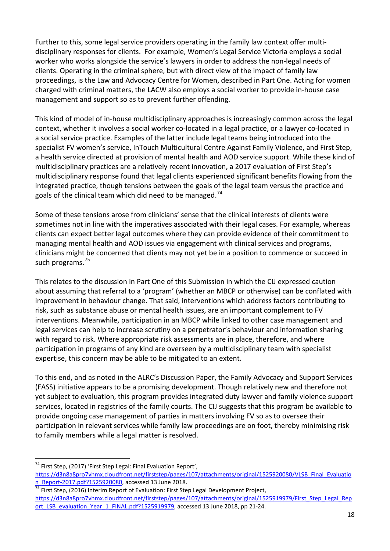Further to this, some legal service providers operating in the family law context offer multidisciplinary responses for clients. For example, Women's Legal Service Victoria employs a social worker who works alongside the service's lawyers in order to address the non-legal needs of clients. Operating in the criminal sphere, but with direct view of the impact of family law proceedings, is the Law and Advocacy Centre for Women, described in Part One. Acting for women charged with criminal matters, the LACW also employs a social worker to provide in-house case management and support so as to prevent further offending.

This kind of model of in-house multidisciplinary approaches is increasingly common across the legal context, whether it involves a social worker co-located in a legal practice, or a lawyer co-located in a social service practice. Examples of the latter include legal teams being introduced into the specialist FV women's service, InTouch Multicultural Centre Against Family Violence, and First Step, a health service directed at provision of mental health and AOD service support. While these kind of multidisciplinary practices are a relatively recent innovation, a 2017 evaluation of First Step's multidisciplinary response found that legal clients experienced significant benefits flowing from the integrated practice, though tensions between the goals of the legal team versus the practice and goals of the clinical team which did need to be managed.<sup>[74](#page-17-0)</sup>

Some of these tensions arose from clinicians' sense that the clinical interests of clients were sometimes not in line with the imperatives associated with their legal cases. For example, whereas clients can expect better legal outcomes where they can provide evidence of their commitment to managing mental health and AOD issues via engagement with clinical services and programs, clinicians might be concerned that clients may not yet be in a position to commence or succeed in such programs.<sup>[75](#page-17-1)</sup>

This relates to the discussion in Part One of this Submission in which the CIJ expressed caution about assuming that referral to a 'program' (whether an MBCP or otherwise) can be conflated with improvement in behaviour change. That said, interventions which address factors contributing to risk, such as substance abuse or mental health issues, are an important complement to FV interventions. Meanwhile, participation in an MBCP while linked to other case management and legal services can help to increase scrutiny on a perpetrator's behaviour and information sharing with regard to risk. Where appropriate risk assessments are in place, therefore, and where participation in programs of any kind are overseen by a multidisciplinary team with specialist expertise, this concern may be able to be mitigated to an extent.

To this end, and as noted in the ALRC's Discussion Paper, the Family Advocacy and Support Services (FASS) initiative appears to be a promising development. Though relatively new and therefore not yet subject to evaluation, this program provides integrated duty lawyer and family violence support services, located in registries of the family courts. The CIJ suggests that this program be available to provide ongoing case management of parties in matters involving FV so as to oversee their participation in relevant services while family law proceedings are on foot, thereby minimising risk to family members while a legal matter is resolved.

<span id="page-17-0"></span> $74$  First Step, (2017) 'First Step Legal: Final Evaluation Report',

[https://d3n8a8pro7vhmx.cloudfront.net/firststep/pages/107/attachments/original/1525920080/VLSB\\_Final\\_Evaluatio](https://d3n8a8pro7vhmx.cloudfront.net/firststep/pages/107/attachments/original/1525920080/VLSB_Final_Evaluation_Report-2017.pdf?1525920080)<br>n\_Report-2017.pdf?1525920080, accessed 13 June 2018.

<span id="page-17-1"></span> $\frac{1}{75}$  First Step, (2016) Interim Report of Evaluation: First Step Legal Development Project, [https://d3n8a8pro7vhmx.cloudfront.net/firststep/pages/107/attachments/original/1525919979/First\\_Step\\_Legal\\_Rep](https://d3n8a8pro7vhmx.cloudfront.net/firststep/pages/107/attachments/original/1525919979/First_Step_Legal_Report_LSB_evaluation_Year_1_FINAL.pdf?1525919979) [ort\\_LSB\\_evaluation\\_Year\\_1\\_FINAL.pdf?1525919979,](https://d3n8a8pro7vhmx.cloudfront.net/firststep/pages/107/attachments/original/1525919979/First_Step_Legal_Report_LSB_evaluation_Year_1_FINAL.pdf?1525919979) accessed 13 June 2018, pp 21-24.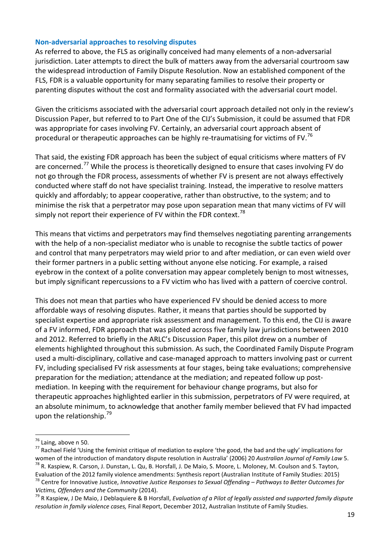#### **Non-adversarial approaches to resolving disputes**

As referred to above, the FLS as originally conceived had many elements of a non-adversarial jurisdiction. Later attempts to direct the bulk of matters away from the adversarial courtroom saw the widespread introduction of Family Dispute Resolution. Now an established component of the FLS, FDR is a valuable opportunity for many separating families to resolve their property or parenting disputes without the cost and formality associated with the adversarial court model.

Given the criticisms associated with the adversarial court approach detailed not only in the review's Discussion Paper, but referred to to Part One of the CIJ's Submission, it could be assumed that FDR was appropriate for cases involving FV. Certainly, an adversarial court approach absent of procedural or therapeutic approaches can be highly re-traumatising for victims of FV.<sup>[76](#page-18-0)</sup>

That said, the existing FDR approach has been the subject of equal criticisms where matters of FV are concerned.<sup>[77](#page-18-1)</sup> While the process is theoretically designed to ensure that cases involving FV do not go through the FDR process, assessments of whether FV is present are not always effectively conducted where staff do not have specialist training. Instead, the imperative to resolve matters quickly and affordably; to appear cooperative, rather than obstructive, to the system; and to minimise the risk that a perpetrator may pose upon separation mean that many victims of FV will simply not report their experience of FV within the FDR context.<sup>[78](#page-18-2)</sup>

This means that victims and perpetrators may find themselves negotiating parenting arrangements with the help of a non-specialist mediator who is unable to recognise the subtle tactics of power and control that many perpetrators may wield prior to and after mediation, or can even wield over their former partners in a public setting without anyone else noticing. For example, a raised eyebrow in the context of a polite conversation may appear completely benign to most witnesses, but imply significant repercussions to a FV victim who has lived with a pattern of coercive control.

This does not mean that parties who have experienced FV should be denied access to more affordable ways of resolving disputes. Rather, it means that parties should be supported by specialist expertise and appropriate risk assessment and management. To this end, the CIJ is aware of a FV informed, FDR approach that was piloted across five family law jurisdictions between 2010 and 2012. Referred to briefly in the ARLC's Discussion Paper, this pilot drew on a number of elements highlighted throughout this submission. As such, the Coordinated Family Dispute Program used a multi-disciplinary, collative and case-managed approach to matters involving past or current FV, including specialised FV risk assessments at four stages, being take evaluations; comprehensive preparation for the mediation; attendance at the mediation; and repeated follow up postmediation. In keeping with the requirement for behaviour change programs, but also for therapeutic approaches highlighted earlier in this submission, perpetrators of FV were required, at an absolute minimum, to acknowledge that another family member believed that FV had impacted upon the relationship. $^{79}$  $^{79}$  $^{79}$ 

<span id="page-18-0"></span><sup>&</sup>lt;sup>76</sup> Laing, above n 50.

<span id="page-18-1"></span><sup>&</sup>lt;sup>77</sup> Rachael Field 'Using the feminist critique of mediation to explore 'the good, the bad and the ugly' implications for women of the introduction of mandatory dispute resolution in Australia' (2006) 20 Australian Journal of Family Law 5.<br><sup>78</sup> R. Kaspiew, R. Carson, J. Dunstan, L. Qu, B. Horsfall, J. De Maio, S. Moore, L. Moloney, M. Coulson

<span id="page-18-2"></span>Evaluation of the 2012 family violence amendments: Synthesis report (Australian Institute of Family Studies: 2015) <sup>78</sup> Centre for Innovative Justice, *Innovative Justice Responses to Sexual Offending – Pathways to Better Outcomes for* 

<span id="page-18-3"></span>*Victims, Offenders and the Community* (2014).<br><sup>79</sup> R Kaspiew, J De Maio, J Deblaquiere & B Horsfall, *Evaluation of a Pilot of legally assisted and supported family dispute resolution in family violence cases,* Final Report, December 2012, Australian Institute of Family Studies.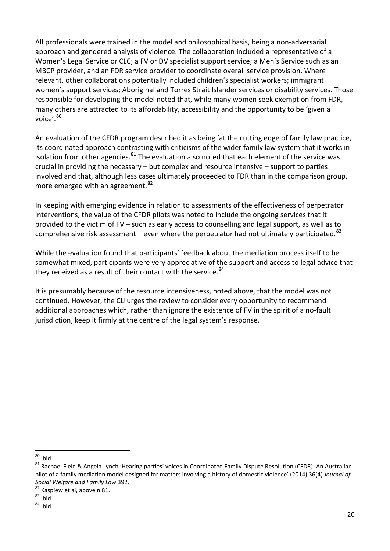All professionals were trained in the model and philosophical basis, being a non-adversarial approach and gendered analysis of violence. The collaboration included a representative of a Women's Legal Service or CLC; a FV or DV specialist support service; a Men's Service such as an MBCP provider, and an FDR service provider to coordinate overall service provision. Where relevant, other collaborations potentially included children's specialist workers; immigrant women's support services; Aboriginal and Torres Strait Islander services or disability services. Those responsible for developing the model noted that, while many women seek exemption from FDR, many others are attracted to its affordability, accessibility and the opportunity to be 'given a voice'.<sup>[80](#page-19-0)</sup>

An evaluation of the CFDR program described it as being 'at the cutting edge of family law practice, its coordinated approach contrasting with criticisms of the wider family law system that it works in isolation from other agencies. $81$  The evaluation also noted that each element of the service was crucial in providing the necessary – but complex and resource intensive – support to parties involved and that, although less cases ultimately proceeded to FDR than in the comparison group, more emerged with an agreement.<sup>[82](#page-19-2)</sup>

In keeping with emerging evidence in relation to assessments of the effectiveness of perpetrator interventions, the value of the CFDR pilots was noted to include the ongoing services that it provided to the victim of FV – such as early access to counselling and legal support, as well as to comprehensive risk assessment – even where the perpetrator had not ultimately participated. $83$ 

While the evaluation found that participants' feedback about the mediation process itself to be somewhat mixed, participants were very appreciative of the support and access to legal advice that they received as a result of their contact with the service. [84](#page-19-4)

It is presumably because of the resource intensiveness, noted above, that the model was not continued. However, the CIJ urges the review to consider every opportunity to recommend additional approaches which, rather than ignore the existence of FV in the spirit of a no-fault jurisdiction, keep it firmly at the centre of the legal system's response.

<span id="page-19-0"></span> $80$  Ibid

<span id="page-19-1"></span> $81$  Rachael Field & Angela Lynch 'Hearing parties' voices in Coordinated Family Dispute Resolution (CFDR): An Australian pilot of a family mediation model designed for matters involving a history of domestic violence' (2014) 36(4) *Journal of Social Welfare and Family Law* 392.<br><sup>82</sup> Kaspiew et al, above n 81.<br><sup>83</sup> Ibid 84 Ibid

<span id="page-19-2"></span>

<span id="page-19-3"></span>

<span id="page-19-4"></span>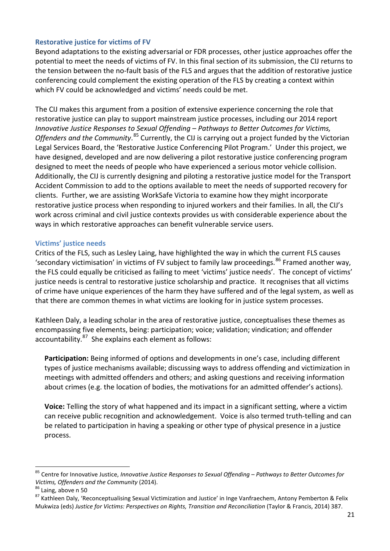## **Restorative justice for victims of FV**

Beyond adaptations to the existing adversarial or FDR processes, other justice approaches offer the potential to meet the needs of victims of FV. In this final section of its submission, the CIJ returns to the tension between the no-fault basis of the FLS and argues that the addition of restorative justice conferencing could complement the existing operation of the FLS by creating a context within which FV could be acknowledged and victims' needs could be met.

The CIJ makes this argument from a position of extensive experience concerning the role that restorative justice can play to support mainstream justice processes, including our 2014 report *Innovative Justice Responses to Sexual Offending – Pathways to Better Outcomes for Victims,*  Offenders and the Community.<sup>[85](#page-20-0)</sup> Currently, the CIJ is carrying out a project funded by the Victorian Legal Services Board, the 'Restorative Justice Conferencing Pilot Program.' Under this project, we have designed, developed and are now delivering a pilot restorative justice conferencing program designed to meet the needs of people who have experienced a serious motor vehicle collision. Additionally, the CIJ is currently designing and piloting a restorative justice model for the Transport Accident Commission to add to the options available to meet the needs of supported recovery for clients. Further, we are assisting WorkSafe Victoria to examine how they might incorporate restorative justice process when responding to injured workers and their families. In all, the CIJ's work across criminal and civil justice contexts provides us with considerable experience about the ways in which restorative approaches can benefit vulnerable service users.

#### **Victims' justice needs**

Critics of the FLS, such as Lesley Laing, have highlighted the way in which the current FLS causes 'secondary victimisation' in victims of FV subject to family law proceedings.<sup>[86](#page-20-1)</sup> Framed another way, the FLS could equally be criticised as failing to meet 'victims' justice needs'. The concept of victims' justice needs is central to restorative justice scholarship and practice. It recognises that all victims of crime have unique experiences of the harm they have suffered and of the legal system, as well as that there are common themes in what victims are looking for in justice system processes.

Kathleen Daly, a leading scholar in the area of restorative justice, conceptualises these themes as encompassing five elements, being: participation; voice; validation; vindication; and offender accountability. $87$  She explains each element as follows:

**Participation:** Being informed of options and developments in one's case, including different types of justice mechanisms available; discussing ways to address offending and victimization in meetings with admitted offenders and others; and asking questions and receiving information about crimes (e.g. the location of bodies, the motivations for an admitted offender's actions).

**Voice:** Telling the story of what happened and its impact in a significant setting, where a victim can receive public recognition and acknowledgement. Voice is also termed truth-telling and can be related to participation in having a speaking or other type of physical presence in a justice process.

<span id="page-20-0"></span><sup>85</sup> Centre for Innovative Justice, *Innovative Justice Responses to Sexual Offending – Pathways to Better Outcomes for* 

<span id="page-20-2"></span><span id="page-20-1"></span>

*Victims, Offenders and the Community* (2014).<br><sup>86</sup> Laing, above n 50<br><sup>87</sup> Kathleen Daly, 'Reconceptualising Sexual Victimization and Justice' in Inge Vanfraechem, Antony Pemberton & Felix Mukwiza (eds) *Justice for Victims: Perspectives on Rights, Transition and Reconciliation* (Taylor & Francis, 2014) 387.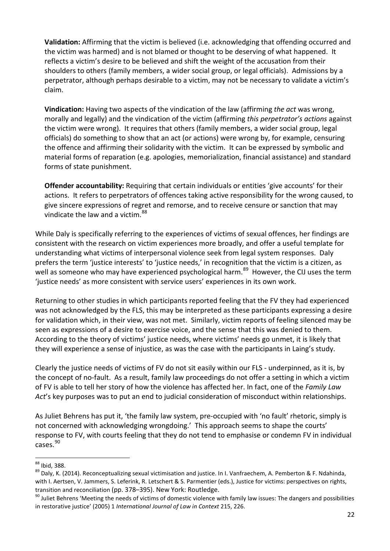**Validation:** Affirming that the victim is believed (i.e. acknowledging that offending occurred and the victim was harmed) and is not blamed or thought to be deserving of what happened. It reflects a victim's desire to be believed and shift the weight of the accusation from their shoulders to others (family members, a wider social group, or legal officials). Admissions by a perpetrator, although perhaps desirable to a victim, may not be necessary to validate a victim's claim.

**Vindication:** Having two aspects of the vindication of the law (affirming *the act* was wrong, morally and legally) and the vindication of the victim (affirming *this perpetrator's actions* against the victim were wrong). It requires that others (family members, a wider social group, legal officials) do something to show that an act (or actions) were wrong by, for example, censuring the offence and affirming their solidarity with the victim. It can be expressed by symbolic and material forms of reparation (e.g. apologies, memorialization, financial assistance) and standard forms of state punishment.

**Offender accountability:** Requiring that certain individuals or entities 'give accounts' for their actions. It refers to perpetrators of offences taking active responsibility for the wrong caused, to give sincere expressions of regret and remorse, and to receive censure or sanction that may vindicate the law and a victim.<sup>[88](#page-21-0)</sup>

While Daly is specifically referring to the experiences of victims of sexual offences, her findings are consistent with the research on victim experiences more broadly, and offer a useful template for understanding what victims of interpersonal violence seek from legal system responses. Daly prefers the term 'justice interests' to 'justice needs,' in recognition that the victim is a citizen, as well as someone who may have experienced psychological harm.<sup>[89](#page-21-1)</sup> However, the CIJ uses the term 'justice needs' as more consistent with service users' experiences in its own work.

Returning to other studies in which participants reported feeling that the FV they had experienced was not acknowledged by the FLS, this may be interpreted as these participants expressing a desire for validation which, in their view, was not met. Similarly, victim reports of feeling silenced may be seen as expressions of a desire to exercise voice, and the sense that this was denied to them. According to the theory of victims' justice needs, where victims' needs go unmet, it is likely that they will experience a sense of injustice, as was the case with the participants in Laing's study.

Clearly the justice needs of victims of FV do not sit easily within our FLS - underpinned, as it is, by the concept of no-fault. As a result, family law proceedings do not offer a setting in which a victim of FV is able to tell her story of how the violence has affected her. In fact, one of the *Family Law Act*'s key purposes was to put an end to judicial consideration of misconduct within relationships.

As Juliet Behrens has put it, 'the family law system, pre-occupied with 'no fault' rhetoric, simply is not concerned with acknowledging wrongdoing.' This approach seems to shape the courts' response to FV, with courts feeling that they do not tend to emphasise or condemn FV in individual cases.[90](#page-21-2)

<span id="page-21-0"></span><sup>88</sup> Ibid, 388.

<span id="page-21-1"></span><sup>&</sup>lt;sup>89</sup> Daly, K. (2014). Reconceptualizing sexual victimisation and justice. In I. Vanfraechem, A. Pemberton & F. Ndahinda, with I. Aertsen, V. Jammers, S. Leferink, R. Letschert & S. Parmentier (eds.), Justice for victims: perspectives on rights, transition and reconciliation (pp. 378–395). New York: Routledge.<br><sup>90</sup> Juliet Behrens 'Meeting the needs of victims of domestic violence with family law issues: The dangers and possibilities

<span id="page-21-2"></span>in restorative justice' (2005) 1 *International Journal of Law in Context* 215, 226.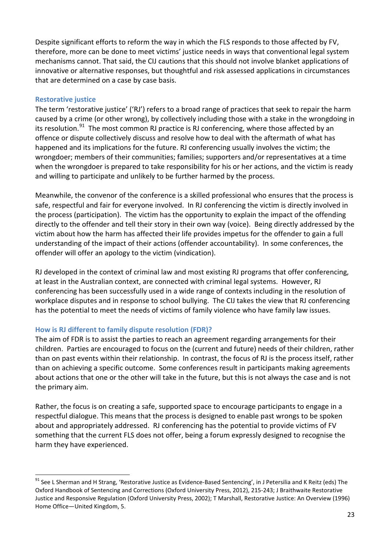Despite significant efforts to reform the way in which the FLS responds to those affected by FV, therefore, more can be done to meet victims' justice needs in ways that conventional legal system mechanisms cannot. That said, the CIJ cautions that this should not involve blanket applications of innovative or alternative responses, but thoughtful and risk assessed applications in circumstances that are determined on a case by case basis.

#### **Restorative justice**

 $\overline{a}$ 

The term 'restorative justice' ('RJ') refers to a broad range of practices that seek to repair the harm caused by a crime (or other wrong), by collectively including those with a stake in the wrongdoing in its resolution.<sup>[91](#page-22-0)</sup> The most common RJ practice is RJ conferencing, where those affected by an offence or dispute collectively discuss and resolve how to deal with the aftermath of what has happened and its implications for the future. RJ conferencing usually involves the victim; the wrongdoer; members of their communities; families; supporters and/or representatives at a time when the wrongdoer is prepared to take responsibility for his or her actions, and the victim is ready and willing to participate and unlikely to be further harmed by the process.

Meanwhile, the convenor of the conference is a skilled professional who ensures that the process is safe, respectful and fair for everyone involved. In RJ conferencing the victim is directly involved in the process (participation). The victim has the opportunity to explain the impact of the offending directly to the offender and tell their story in their own way (voice). Being directly addressed by the victim about how the harm has affected their life provides impetus for the offender to gain a full understanding of the impact of their actions (offender accountability). In some conferences, the offender will offer an apology to the victim (vindication).

RJ developed in the context of criminal law and most existing RJ programs that offer conferencing, at least in the Australian context, are connected with criminal legal systems. However, RJ conferencing has been successfully used in a wide range of contexts including in the resolution of workplace disputes and in response to school bullying. The CIJ takes the view that RJ conferencing has the potential to meet the needs of victims of family violence who have family law issues.

# **How is RJ different to family dispute resolution (FDR)?**

The aim of FDR is to assist the parties to reach an agreement regarding arrangements for their children. Parties are encouraged to focus on the (current and future) needs of their children, rather than on past events within their relationship. In contrast, the focus of RJ is the process itself, rather than on achieving a specific outcome. Some conferences result in participants making agreements about actions that one or the other will take in the future, but this is not always the case and is not the primary aim.

Rather, the focus is on creating a safe, supported space to encourage participants to engage in a respectful dialogue. This means that the process is designed to enable past wrongs to be spoken about and appropriately addressed. RJ conferencing has the potential to provide victims of FV something that the current FLS does not offer, being a forum expressly designed to recognise the harm they have experienced.

<span id="page-22-0"></span><sup>&</sup>lt;sup>91</sup> See L Sherman and H Strang, 'Restorative Justice as Evidence-Based Sentencing', in J Petersilia and K Reitz (eds) The Oxford Handbook of Sentencing and Corrections (Oxford University Press, 2012), 215-243; J Braithwaite Restorative Justice and Responsive Regulation (Oxford University Press, 2002); T Marshall, Restorative Justice: An Overview (1996) Home Office—United Kingdom, 5.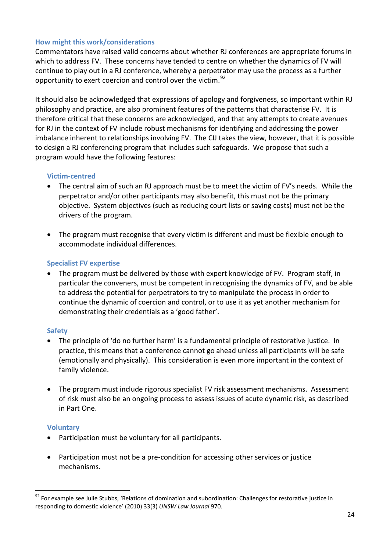# **How might this work/considerations**

Commentators have raised valid concerns about whether RJ conferences are appropriate forums in which to address FV. These concerns have tended to centre on whether the dynamics of FV will continue to play out in a RJ conference, whereby a perpetrator may use the process as a further opportunity to exert coercion and control over the victim.<sup>92</sup>

It should also be acknowledged that expressions of apology and forgiveness, so important within RJ philosophy and practice, are also prominent features of the patterns that characterise FV. It is therefore critical that these concerns are acknowledged, and that any attempts to create avenues for RJ in the context of FV include robust mechanisms for identifying and addressing the power imbalance inherent to relationships involving FV. The CIJ takes the view, however, that it is possible to design a RJ conferencing program that includes such safeguards. We propose that such a program would have the following features:

# **Victim-centred**

- The central aim of such an RJ approach must be to meet the victim of FV's needs. While the perpetrator and/or other participants may also benefit, this must not be the primary objective. System objectives (such as reducing court lists or saving costs) must not be the drivers of the program.
- The program must recognise that every victim is different and must be flexible enough to accommodate individual differences.

# **Specialist FV expertise**

• The program must be delivered by those with expert knowledge of FV. Program staff, in particular the conveners, must be competent in recognising the dynamics of FV, and be able to address the potential for perpetrators to try to manipulate the process in order to continue the dynamic of coercion and control, or to use it as yet another mechanism for demonstrating their credentials as a 'good father'.

# **Safety**

- The principle of 'do no further harm' is a fundamental principle of restorative justice. In practice, this means that a conference cannot go ahead unless all participants will be safe (emotionally and physically). This consideration is even more important in the context of family violence.
- The program must include rigorous specialist FV risk assessment mechanisms. Assessment of risk must also be an ongoing process to assess issues of acute dynamic risk, as described in Part One.

# **Voluntary**

- Participation must be voluntary for all participants.
- Participation must not be a pre-condition for accessing other services or justice mechanisms.

<span id="page-23-0"></span><sup>92</sup> For example see Julie Stubbs, 'Relations of domination and subordination: Challenges for restorative justice in responding to domestic violence' (2010) 33(3) *UNSW Law Journal* 970.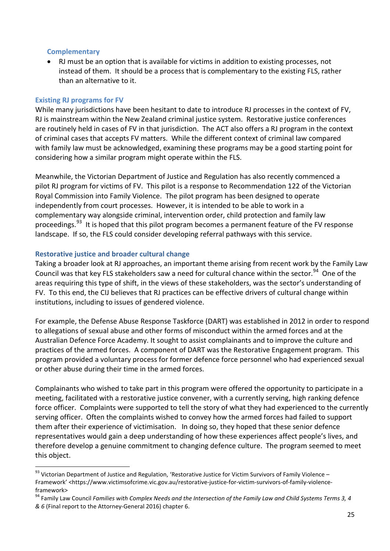#### **Complementary**

• RJ must be an option that is available for victims in addition to existing processes, not instead of them. It should be a process that is complementary to the existing FLS, rather than an alternative to it.

# **Existing RJ programs for FV**

 $\overline{a}$ 

While many jurisdictions have been hesitant to date to introduce RJ processes in the context of FV, RJ is mainstream within the New Zealand criminal justice system. Restorative justice conferences are routinely held in cases of FV in that jurisdiction. The ACT also offers a RJ program in the context of criminal cases that accepts FV matters. While the different context of criminal law compared with family law must be acknowledged, examining these programs may be a good starting point for considering how a similar program might operate within the FLS.

Meanwhile, the Victorian Department of Justice and Regulation has also recently commenced a pilot RJ program for victims of FV. This pilot is a response to Recommendation 122 of the Victorian Royal Commission into Family Violence. The pilot program has been designed to operate independently from court processes. However, it is intended to be able to work in a complementary way alongside criminal, intervention order, child protection and family law proceedings.<sup>[93](#page-24-0)</sup> It is hoped that this pilot program becomes a permanent feature of the FV response landscape. If so, the FLS could consider developing referral pathways with this service.

# **Restorative justice and broader cultural change**

Taking a broader look at RJ approaches, an important theme arising from recent work by the Family Law Council was that key FLS stakeholders saw a need for cultural chance within the sector.<sup>[94](#page-24-1)</sup> One of the areas requiring this type of shift, in the views of these stakeholders, was the sector's understanding of FV. To this end, the CIJ believes that RJ practices can be effective drivers of cultural change within institutions, including to issues of gendered violence.

For example, the Defense Abuse Response Taskforce (DART) was established in 2012 in order to respond to allegations of sexual abuse and other forms of misconduct within the armed forces and at the Australian Defence Force Academy. It sought to assist complainants and to improve the culture and practices of the armed forces. A component of DART was the Restorative Engagement program. This program provided a voluntary process for former defence force personnel who had experienced sexual or other abuse during their time in the armed forces.

Complainants who wished to take part in this program were offered the opportunity to participate in a meeting, facilitated with a restorative justice convener, with a currently serving, high ranking defence force officer. Complaints were supported to tell the story of what they had experienced to the currently serving officer. Often the complaints wished to convey how the armed forces had failed to support them after their experience of victimisation. In doing so, they hoped that these senior defence representatives would gain a deep understanding of how these experiences affect people's lives, and therefore develop a genuine commitment to changing defence culture. The program seemed to meet this object.

<span id="page-24-0"></span><sup>93</sup> Victorian Department of Justice and Regulation, 'Restorative Justice for Victim Survivors of Family Violence – Framework' <https://www.victimsofcrime.vic.gov.au/restorative-justice-for-victim-survivors-of-family-violenceframework> <sup>94</sup> Family Law Council *Families with Complex Needs and the Intersection of the Family Law and Child Systems Terms 3, 4* 

<span id="page-24-1"></span>*<sup>&</sup>amp; 6* (Final report to the Attorney-General 2016) chapter 6.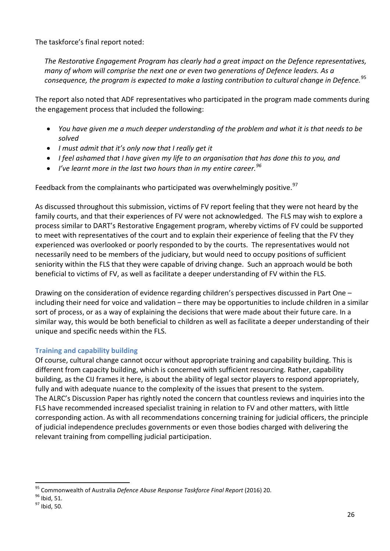The taskforce's final report noted:

*The Restorative Engagement Program has clearly had a great impact on the Defence representatives, many of whom will comprise the next one or even two generations of Defence leaders. As a consequence, the program is expected to make a lasting contribution to cultural change in Defence.*[95](#page-25-0)

The report also noted that ADF representatives who participated in the program made comments during the engagement process that included the following:

- *You have given me a much deeper understanding of the problem and what it is that needs to be solved*
- *I must admit that it's only now that I really get it*
- *I feel ashamed that I have given my life to an organisation that has done this to you, and*
- *I've learnt more in the last two hours than in my entire career.[96](#page-25-1)*

Feedback from the complainants who participated was overwhelmingly positive.<sup>[97](#page-25-2)</sup>

As discussed throughout this submission, victims of FV report feeling that they were not heard by the family courts, and that their experiences of FV were not acknowledged. The FLS may wish to explore a process similar to DART's Restorative Engagement program, whereby victims of FV could be supported to meet with representatives of the court and to explain their experience of feeling that the FV they experienced was overlooked or poorly responded to by the courts. The representatives would not necessarily need to be members of the judiciary, but would need to occupy positions of sufficient seniority within the FLS that they were capable of driving change. Such an approach would be both beneficial to victims of FV, as well as facilitate a deeper understanding of FV within the FLS.

Drawing on the consideration of evidence regarding children's perspectives discussed in Part One – including their need for voice and validation – there may be opportunities to include children in a similar sort of process, or as a way of explaining the decisions that were made about their future care. In a similar way, this would be both beneficial to children as well as facilitate a deeper understanding of their unique and specific needs within the FLS.

# **Training and capability building**

Of course, cultural change cannot occur without appropriate training and capability building. This is different from capacity building, which is concerned with sufficient resourcing. Rather, capability building, as the CIJ frames it here, is about the ability of legal sector players to respond appropriately, fully and with adequate nuance to the complexity of the issues that present to the system. The ALRC's Discussion Paper has rightly noted the concern that countless reviews and inquiries into the FLS have recommended increased specialist training in relation to FV and other matters, with little corresponding action. As with all recommendations concerning training for judicial officers, the principle of judicial independence precludes governments or even those bodies charged with delivering the relevant training from compelling judicial participation.

<span id="page-25-0"></span><sup>&</sup>lt;sup>95</sup> Commonwealth of Australia *Defence Abuse Response Taskforce Final Report* (2016) 20.<br><sup>96</sup> Ibid, 51.<br><sup>97</sup> Ibid, 50.

<span id="page-25-1"></span>

<span id="page-25-2"></span>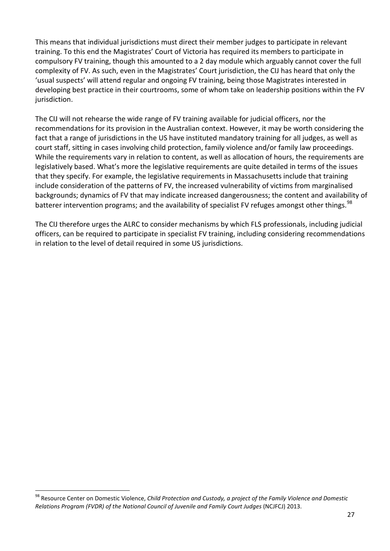This means that individual jurisdictions must direct their member judges to participate in relevant training. To this end the Magistrates' Court of Victoria has required its members to participate in compulsory FV training, though this amounted to a 2 day module which arguably cannot cover the full complexity of FV. As such, even in the Magistrates' Court jurisdiction, the CIJ has heard that only the 'usual suspects' will attend regular and ongoing FV training, being those Magistrates interested in developing best practice in their courtrooms, some of whom take on leadership positions within the FV jurisdiction.

The CIJ will not rehearse the wide range of FV training available for judicial officers, nor the recommendations for its provision in the Australian context. However, it may be worth considering the fact that a range of jurisdictions in the US have instituted mandatory training for all judges, as well as court staff, sitting in cases involving child protection, family violence and/or family law proceedings. While the requirements vary in relation to content, as well as allocation of hours, the requirements are legislatively based. What's more the legislative requirements are quite detailed in terms of the issues that they specify. For example, the legislative requirements in Massachusetts include that training include consideration of the patterns of FV, the increased vulnerability of victims from marginalised backgrounds; dynamics of FV that may indicate increased dangerousness; the content and availability of batterer intervention programs; and the availability of specialist FV refuges amongst other things.<sup>98</sup>

The CIJ therefore urges the ALRC to consider mechanisms by which FLS professionals, including judicial officers, can be required to participate in specialist FV training, including considering recommendations in relation to the level of detail required in some US jurisdictions.

<span id="page-26-0"></span><sup>98</sup> Resource Center on Domestic Violence, *Child Protection and Custody, a project of the Family Violence and Domestic Relations Program (FVDR) of the National Council of Juvenile and Family Court Judges* (NCJFCJ) 2013.